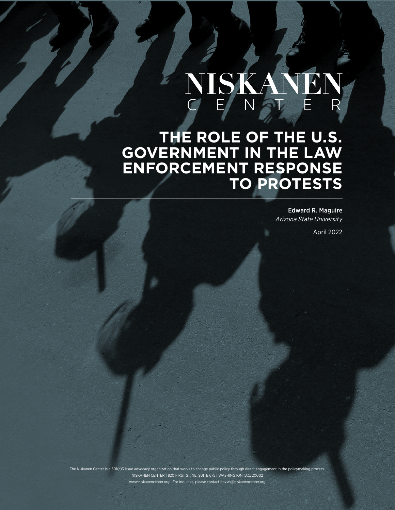# NISKA

**THE ROLE OF THE U.S. GOVERNMENT IN THE LAW ENFORCEMENT RESPONSE TO PROTESTS** 

> Edward R. Maguire *Arizona State University*

> > April 2022

The Niskanen Center is a 501(c)3 issue advocacy organization that works to change public policy through direct engagement in the policymaking process. NISKANEN CENTER | 820 FIRST ST. NE, SUITE 675 | WASHINGTON, D.C. 20002 www.niskanencenter.org | For inquiries, please contact ltavlas@niskanencenter.org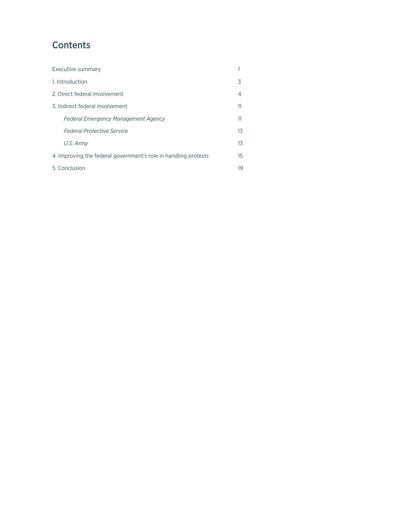# **Contents**

| Executive summary                                               |    |
|-----------------------------------------------------------------|----|
| 1. Introduction                                                 | 3  |
| 2. Direct federal involvement                                   | 4  |
| 3. Indirect federal involvement                                 | 11 |
| <b>Federal Emergency Management Agency</b>                      | 11 |
| <b>Federal Protective Service</b>                               | 13 |
| U.S. Army                                                       | 13 |
| 4. Improving the federal government's role in handling protests | 15 |
| 5. Conclusion                                                   | 19 |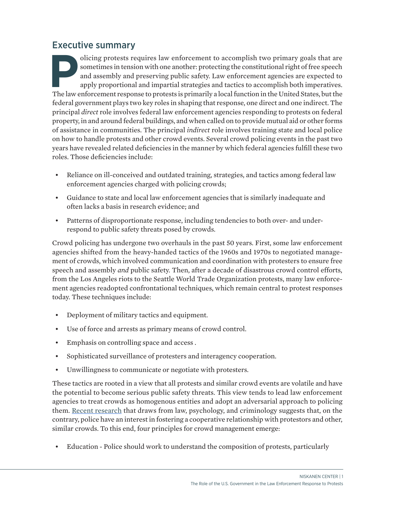## Executive summary

olicing protests requires law enforcement to accomplish two primary goals that are sometimes in tension with one another: protecting the constitutional right of free speech and assembly and preserving public safety. Law en sometimes in tension with one another: protecting the constitutional right of free speech and assembly and preserving public safety. Law enforcement agencies are expected to apply proportional and impartial strategies and tactics to accomplish both imperatives. The law enforcement response to protests is primarily a local function in the United States, but the federal government plays two key roles in shaping that response, one direct and one indirect. The principal *direct* role involves federal law enforcement agencies responding to protests on federal property, in and around federal buildings, and when called on to provide mutual aid or other forms of assistance in communities. The principal *indirect* role involves training state and local police on how to handle protests and other crowd events. Several crowd policing events in the past two years have revealed related deficiencies in the manner by which federal agencies fulfill these two roles. Those deficiencies include:

- Reliance on ill-conceived and outdated training, strategies, and tactics among federal law enforcement agencies charged with policing crowds;
- Guidance to state and local law enforcement agencies that is similarly inadequate and often lacks a basis in research evidence; and
- Patterns of disproportionate response, including tendencies to both over- and underrespond to public safety threats posed by crowds.

Crowd policing has undergone two overhauls in the past 50 years. First, some law enforcement agencies shifted from the heavy-handed tactics of the 1960s and 1970s to negotiated management of crowds, which involved communication and coordination with protesters to ensure free speech and assembly *and* public safety. Then, after a decade of disastrous crowd control efforts, from the Los Angeles riots to the Seattle World Trade Organization protests, many law enforcement agencies readopted confrontational techniques, which remain central to protest responses today. These techniques include:

- Deployment of military tactics and equipment.
- Use of force and arrests as primary means of crowd control.
- Emphasis on controlling space and access .
- Sophisticated surveillance of protesters and interagency cooperation.
- Unwillingness to communicate or negotiate with protesters.

These tactics are rooted in a view that all protests and similar crowd events are volatile and have the potential to become serious public safety threats. This view tends to lead law enforcement agencies to treat crowds as homogenous entities and adopt an adversarial approach to policing them. [Recent research](https://www.hfg.org/wp-content/uploads/2021/06/PolicingProtests.pdf) that draws from law, psychology, and criminology suggests that, on the contrary, police have an interest in fostering a cooperative relationship with protestors and other, similar crowds. To this end, four principles for crowd management emerge:

• Education - Police should work to understand the composition of protests, particularly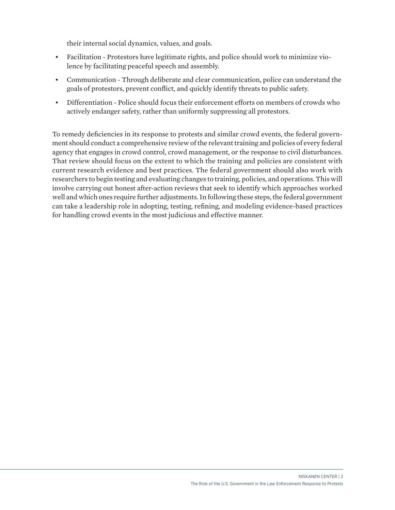their internal social dynamics, values, and goals.

- Facilitation Protestors have legitimate rights, and police should work to minimize violence by facilitating peaceful speech and assembly.
- Communication Through deliberate and clear communication, police can understand the goals of protestors, prevent conflict, and quickly identify threats to public safety.
- Differentiation Police should focus their enforcement efforts on members of crowds who actively endanger safety, rather than uniformly suppressing all protestors.

To remedy deficiencies in its response to protests and similar crowd events, the federal government should conduct a comprehensive review of the relevant training and policies of every federal agency that engages in crowd control, crowd management, or the response to civil disturbances. That review should focus on the extent to which the training and policies are consistent with current research evidence and best practices. The federal government should also work with researchers to begin testing and evaluating changes to training, policies, and operations. This will involve carrying out honest after-action reviews that seek to identify which approaches worked well and which ones require further adjustments. In following these steps, the federal government can take a leadership role in adopting, testing, refining, and modeling evidence-based practices for handling crowd events in the most judicious and effective manner.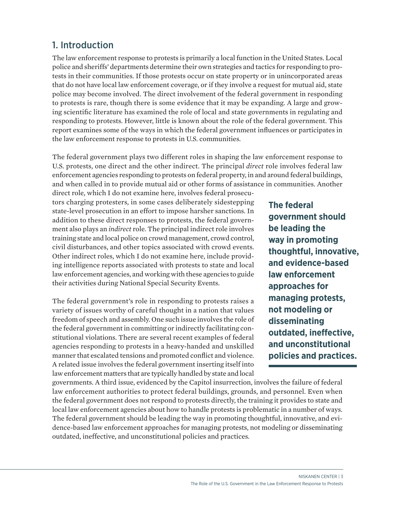## 1. Introduction

The law enforcement response to protests is primarily a local function in the United States. Local police and sheriffs' departments determine their own strategies and tactics for responding to protests in their communities. If those protests occur on state property or in unincorporated areas that do not have local law enforcement coverage, or if they involve a request for mutual aid, state police may become involved. The direct involvement of the federal government in responding to protests is rare, though there is some evidence that it may be expanding. A large and growing scientific literature has examined the role of local and state governments in regulating and responding to protests. However, little is known about the role of the federal government. This report examines some of the ways in which the federal government influences or participates in the law enforcement response to protests in U.S. communities.

The federal government plays two different roles in shaping the law enforcement response to U.S. protests, one direct and the other indirect. The principal *direct* role involves federal law enforcement agencies responding to protests on federal property, in and around federal buildings, and when called in to provide mutual aid or other forms of assistance in communities. Another

direct role, which I do not examine here, involves federal prosecutors charging protesters, in some cases deliberately sidestepping state-level prosecution in an effort to impose harsher sanctions. In addition to these direct responses to protests, the federal government also plays an *indirect* role. The principal indirect role involves training state and local police on crowd management, crowd control, civil disturbances, and other topics associated with crowd events. Other indirect roles, which I do not examine here, include providing intelligence reports associated with protests to state and local law enforcement agencies, and working with these agencies to guide their activities during National Special Security Events.

The federal government's role in responding to protests raises a variety of issues worthy of careful thought in a nation that values freedom of speech and assembly. One such issue involves the role of the federal government in committing or indirectly facilitating constitutional violations. There are several recent examples of federal agencies responding to protests in a heavy-handed and unskilled manner that escalated tensions and promoted conflict and violence. A related issue involves the federal government inserting itself into law enforcement matters that are typically handled by state and local

governments. A third issue, evidenced by the Capitol insurrection, involves the failure of federal law enforcement authorities to protect federal buildings, grounds, and personnel. Even when the federal government does not respond to protests directly, the training it provides to state and local law enforcement agencies about how to handle protests is problematic in a number of ways. The federal government should be leading the way in promoting thoughtful, innovative, and evidence-based law enforcement approaches for managing protests, not modeling or disseminating outdated, ineffective, and unconstitutional policies and practices.

**The federal government should be leading the way in promoting thoughtful, innovative, and evidence-based law enforcement approaches for managing protests, not modeling or disseminating outdated, ineffective, and unconstitutional policies and practices.**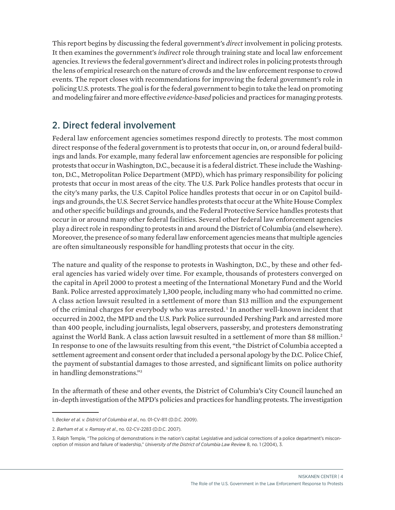This report begins by discussing the federal government's *direct* involvement in policing protests. It then examines the government's *indirect* role through training state and local law enforcement agencies. It reviews the federal government's direct and indirect roles in policing protests through the lens of empirical research on the nature of crowds and the law enforcement response to crowd events. The report closes with recommendations for improving the federal government's role in policing U.S. protests. The goal is for the federal government to begin to take the lead on promoting and modeling fairer and more effective *evidence-based* policies and practices for managing protests.

## 2. Direct federal involvement

Federal law enforcement agencies sometimes respond directly to protests. The most common direct response of the federal government is to protests that occur in, on, or around federal buildings and lands. For example, many federal law enforcement agencies are responsible for policing protests that occur in Washington, D.C., because it is a federal district. These include the Washington, D.C., Metropolitan Police Department (MPD), which has primary responsibility for policing protests that occur in most areas of the city. The U.S. Park Police handles protests that occur in the city's many parks, the U.S. Capitol Police handles protests that occur in or on Capitol buildings and grounds, the U.S. Secret Service handles protests that occur at the White House Complex and other specific buildings and grounds, and the Federal Protective Service handles protests that occur in or around many other federal facilities. Several other federal law enforcement agencies play a direct role in responding to protests in and around the District of Columbia (and elsewhere). Moreover, the presence of so many federal law enforcement agencies means that multiple agencies are often simultaneously responsible for handling protests that occur in the city.

The nature and quality of the response to protests in Washington, D.C., by these and other federal agencies has varied widely over time. For example, thousands of protesters converged on the capital in April 2000 to protest a meeting of the International Monetary Fund and the World Bank. Police arrested approximately 1,300 people, including many who had committed no crime. A class action lawsuit resulted in a settlement of more than \$13 million and the expungement of the criminal charges for everybody who was arrested.<sup>1</sup> In another well-known incident that occurred in 2002, the MPD and the U.S. Park Police surrounded Pershing Park and arrested more than 400 people, including journalists, legal observers, passersby, and protesters demonstrating against the World Bank. A class action lawsuit resulted in a settlement of more than \$8 million.<sup>2</sup> In response to one of the lawsuits resulting from this event, "the District of Columbia accepted a settlement agreement and consent order that included a personal apology by the D.C. Police Chief, the payment of substantial damages to those arrested, and significant limits on police authority in handling demonstrations."3

In the aftermath of these and other events, the District of Columbia's City Council launched an in-depth investigation of the MPD's policies and practices for handling protests. The investigation

<sup>1.</sup> *Becker et al. v. District of Columbia et al*., no. 01-CV-811 (D.D.C. 2009).

<sup>2.</sup> *Barham et al. v. Ramsey et al*., no. 02-CV-2283 (D.D.C. 2007).

<sup>3.</sup> Ralph Temple, "The policing of demonstrations in the nation's capital: Legislative and judicial corrections of a police department's misconception of mission and failure of leadership," *University of the District of Columbia Law Review* 8, no. 1 (2004), 3.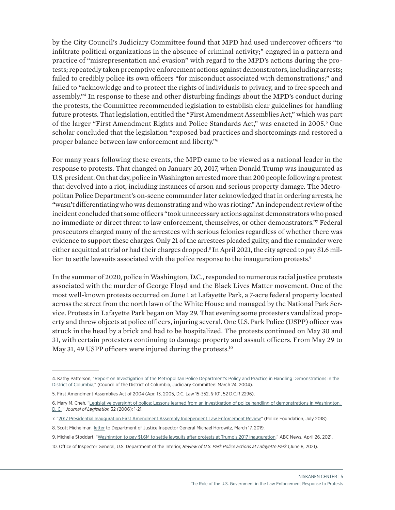by the City Council's Judiciary Committee found that MPD had used undercover officers "to infiltrate political organizations in the absence of criminal activity;" engaged in a pattern and practice of "misrepresentation and evasion" with regard to the MPD's actions during the protests; repeatedly taken preemptive enforcement actions against demonstrators, including arrests; failed to credibly police its own officers "for misconduct associated with demonstrations;" and failed to "acknowledge and to protect the rights of individuals to privacy, and to free speech and assembly."4 In response to these and other disturbing findings about the MPD's conduct during the protests, the Committee recommended legislation to establish clear guidelines for handling future protests. That legislation, entitled the "First Amendment Assemblies Act," which was part of the larger "First Amendment Rights and Police Standards Act," was enacted in 2005.<sup>5</sup> One scholar concluded that the legislation "exposed bad practices and shortcomings and restored a proper balance between law enforcement and liberty."6

For many years following these events, the MPD came to be viewed as a national leader in the response to protests. That changed on January 20, 2017, when Donald Trump was inaugurated as U.S. president. On that day, police in Washington arrested more than 200 people following a protest that devolved into a riot, including instances of arson and serious property damage. The Metropolitan Police Department's on-scene commander later acknowledged that in ordering arrests, he "wasn't differentiating who was demonstrating and who was rioting." An independent review of the incident concluded that some officers "took unnecessary actions against demonstrators who posed no immediate or direct threat to law enforcement, themselves, or other demonstrators."7 Federal prosecutors charged many of the arrestees with serious felonies regardless of whether there was evidence to support these charges. Only 21 of the arrestees pleaded guilty, and the remainder were either acquitted at trial or had their charges dropped.<sup>8</sup> In April 2021, the city agreed to pay \$1.6 million to settle lawsuits associated with the police response to the inauguration protests.<sup>9</sup>

In the summer of 2020, police in Washington, D.C., responded to numerous racial justice protests associated with the murder of George Floyd and the Black Lives Matter movement. One of the most well-known protests occurred on June 1 at Lafayette Park, a 7-acre federal property located across the street from the north lawn of the White House and managed by the National Park Service. Protests in Lafayette Park began on May 29. That evening some protesters vandalized property and threw objects at police officers, injuring several. One U.S. Park Police (USPP) officer was struck in the head by a brick and had to be hospitalized. The protests continued on May 30 and 31, with certain protesters continuing to damage property and assault officers. From May 29 to May 31, 49 USPP officers were injured during the protests.<sup>10</sup>

10. Office of Inspector General, U.S. Department of the Interior, *Review of U.S. Park Police actions at Lafayette Park* (June 8, 2021).

<sup>4.</sup> Kathy Patterson, "Report on Investigation of the Metropolitan Police Department's Policy and Practice in Handling Demonstrations in the [District of Columbia,](http://www.dcwatch.com/police/040324.htm)" (Council of the District of Columbia, Judiciary Committee: March 24, 2004).

<sup>5.</sup> First Amendment Assemblies Act of 2004 (Apr. 13, 2005, D.C. Law 15-352, § 101, 52 D.C.R 2296).

<sup>6.</sup> Mary M. Cheh, "[Legislative oversight of police: Lessons learned from an investigation of police handling of demonstrations in Washington,](https://scholarship.law.nd.edu/jleg/vol32/iss1/1)  [D. C.,](https://scholarship.law.nd.edu/jleg/vol32/iss1/1)" *Journal of Legislation* 32 (2006): 1-21.

<sup>7. &</sup>quot;[2017 Presidential Inauguration First Amendment Assembly Independent Law Enforcement Review"](https://www.policefoundation.org/wp-content/uploads/2018/07/DC-Inauguration-Report-Final-070918.pdf) (Police Foundation, July 2018).

<sup>8.</sup> Scott Michelman, [letter](https://www.acludc.org/sites/default/files/2018_03_07_j20_to_doj_ig.pdf) to Department of Justice Inspector General Michael Horowitz, March 17, 2019.

<sup>9.</sup> Michelle Stoddart, "[Washington to pay \\$1.6M to settle lawsuits after protests at Trump's 2017 inauguration](https://abcnews.go.com/Politics/washington-pay-16m-settle-lawsuits-protests-trumps-2017/story?id=77324117)," ABC News, April 26, 2021.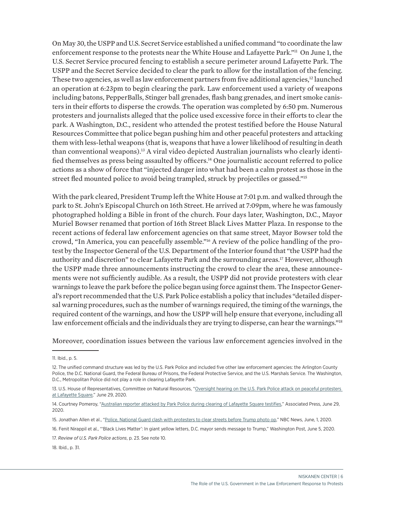On May 30, the USPP and U.S. Secret Service established a unified command "to coordinate the law enforcement response to the protests near the White House and Lafayette Park."11 On June 1, the U.S. Secret Service procured fencing to establish a secure perimeter around Lafayette Park. The USPP and the Secret Service decided to clear the park to allow for the installation of the fencing. These two agencies, as well as law enforcement partners from five additional agencies, $12$  launched an operation at 6:23pm to begin clearing the park. Law enforcement used a variety of weapons including batons, PepperBalls, Stinger ball grenades, flash bang grenades, and inert smoke canisters in their efforts to disperse the crowds. The operation was completed by 6:50 pm. Numerous protesters and journalists alleged that the police used excessive force in their efforts to clear the park. A Washington, D.C., resident who attended the protest testified before the House Natural Resources Committee that police began pushing him and other peaceful protesters and attacking them with less-lethal weapons (that is, weapons that have a lower likelihood of resulting in death than conventional weapons).13 A viral video depicted Australian journalists who clearly identified themselves as press being assaulted by officers.<sup>14</sup> One journalistic account referred to police actions as a show of force that "injected danger into what had been a calm protest as those in the street fled mounted police to avoid being trampled, struck by projectiles or gassed."<sup>15</sup>

With the park cleared, President Trump left the White House at 7:01 p.m. and walked through the park to St. John's Episcopal Church on 16th Street. He arrived at 7:09pm, where he was famously photographed holding a Bible in front of the church. Four days later, Washington, D.C., Mayor Muriel Bowser renamed that portion of 16th Street Black Lives Matter Plaza. In response to the recent actions of federal law enforcement agencies on that same street, Mayor Bowser told the crowd, "In America, you can peacefully assemble."16 A review of the police handling of the protest by the Inspector General of the U.S. Department of the Interior found that "the USPP had the authority and discretion" to clear Lafayette Park and the surrounding areas.<sup>17</sup> However, although the USPP made three announcements instructing the crowd to clear the area, these announcements were not sufficiently audible. As a result, the USPP did not provide protesters with clear warnings to leave the park before the police began using force against them. The Inspector General's report recommended that the U.S. Park Police establish a policy that includes "detailed dispersal warning procedures, such as the number of warnings required, the timing of the warnings, the required content of the warnings, and how the USPP will help ensure that everyone, including all law enforcement officials and the individuals they are trying to disperse, can hear the warnings."<sup>18</sup>

Moreover, coordination issues between the various law enforcement agencies involved in the

18. Ibid., p. 31.

<sup>11.</sup> Ibid., p. 5.

<sup>12.</sup> The unified command structure was led by the U.S. Park Police and included five other law enforcement agencies: the Arlington County Police, the D.C. National Guard, the Federal Bureau of Prisons, the Federal Protective Service, and the U.S. Marshals Service. The Washington, D.C., Metropolitan Police did not play a role in clearing Lafayette Park.

<sup>13.</sup> U.S. House of Representatives, Committee on Natural Resources, "Oversight hearing on the U.S. Park Police attack on peaceful protesters [at Lafayette Square](https://www.congress.gov/event/116th-congress/house-event/LC65664/text?s=1&r=1)," June 29, 2020.

<sup>14.</sup> Courtney Pomeroy, ["Australian reporter attacked by Park Police during clearing of Lafayette Square testifies](https://wjla.com/news/local/australian-journalist-attacked-live-on-abc7-during-clearing-of-lafayette-square-testifies)," Associated Press, June 29, 2020.

<sup>15.</sup> Jonathan Allen et al., "[Police, National Guard clash with protesters to clear streets before Trump photo op](https://www.nbcnews.com/politics/politics-news/after-night-significant-damage-d-c-mayor-bowser-imposes-earlier-n1221126)," NBC News, June, 1, 2020.

<sup>16.</sup> Fenit Nirappil et al., "'Black Lives Matter': In giant yellow letters, D.C. mayor sends message to Trump," Washington Post, June 5, 2020.

<sup>17.</sup> *Review of U.S. Park Police actions*, p. 23. See note 10.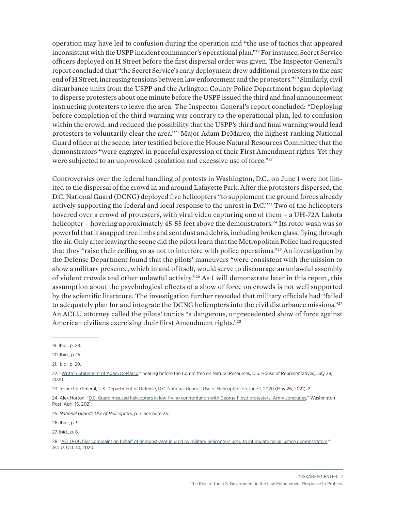operation may have led to confusion during the operation and "the use of tactics that appeared inconsistent with the USPP incident commander's operational plan."19 For instance, Secret Service officers deployed on H Street before the first dispersal order was given. The Inspector General's report concluded that "the Secret Service's early deployment drew additional protesters to the east end of H Street, increasing tensions between law enforcement and the protesters."20 Similarly, civil disturbance units from the USPP and the Arlington County Police Department began deploying to disperse protesters about one minute before the USPP issued the third and final announcement instructing protesters to leave the area. The Inspector General's report concluded: "Deploying before completion of the third warning was contrary to the operational plan, led to confusion within the crowd, and reduced the possibility that the USPP's third and final warning would lead protesters to voluntarily clear the area."21 Major Adam DeMarco, the highest-ranking National Guard officer at the scene, later testified before the House Natural Resources Committee that the demonstrators "were engaged in peaceful expression of their First Amendment rights. Yet they were subjected to an unprovoked escalation and excessive use of force."<sup>22</sup>

Controversies over the federal handling of protests in Washington, D.C., on June 1 were not limited to the dispersal of the crowd in and around Lafayette Park. After the protesters dispersed, the D.C. National Guard (DCNG) deployed five helicopters "to supplement the ground forces already actively supporting the federal and local response to the unrest in D.C."23 Two of the helicopters hovered over a crowd of protesters, with viral video capturing one of them – a UH-72A Lakota helicopter – hovering approximately 45-55 feet above the demonstrators.<sup>24</sup> Its rotor wash was so powerful that it snapped tree limbs and sent dust and debris, including broken glass, flying through the air. Only after leaving the scene did the pilots learn that the Metropolitan Police had requested that they "raise their ceiling so as not to interfere with police operations."25 An investigation by the Defense Department found that the pilots' maneuvers "were consistent with the mission to show a military presence, which in and of itself, would serve to discourage an unlawful assembly of violent crowds and other unlawful activity."26 As I will demonstrate later in this report, this assumption about the psychological effects of a show of force on crowds is not well supported by the scientific literature. The investigation further revealed that military officials had "failed to adequately plan for and integrate the DCNG helicopters into the civil disturbance missions."<sup>27</sup> An ACLU attorney called the pilots' tactics "a dangerous, unprecedented show of force against American civilians exercising their First Amendment rights."28

<sup>19.</sup> Ibid., p. 28.

<sup>20.</sup> Ibid., p. 15.

<sup>21.</sup> Ibid., p. 29.

<sup>22.</sup> ["Written Statement of Adam DeMarco](https://naturalresources.house.gov/imo/media/doc/Mr.%20Adam%20DeMarco%20-%20Written%20Testimony_.pdf)," hearing before the Committee on Natural Resources, U.S. House of Representatives, July 28, 2020.

<sup>23.</sup> Inspector General, U.S. Department of Defense, [D.C. National Guard's Use of Helicopters on June 1, 2020](https://media.defense.gov/2021/May/28/2002731290/-1/-1/1/DODIG%20REPORT%20NO.%202021-089..PDF) (May 26, 2021), 2.

<sup>24.</sup> Alex Horton, "[D.C. Guard misused helicopters in low-flying confrontation with George Floyd protesters, Army concludes,](https://www.washingtonpost.com/national-security/2021/04/15/D.C.,-guard-helicopter-george-floyd-protest)" Washington Post, April 15, 2021.

<sup>25.</sup> *National Guard's Use of Helicopters*, p. 7. See note 23.

<sup>26.</sup> Ibid., p. 9.

<sup>27.</sup> Ibid., p. 8.

<sup>28.</sup> ["ACLU-DC files complaint on behalf of demonstrator injured by military helicopters used to intimidate racial justice demonstrators,](https://www.aclu.org/press-releases/aclu-D.C.,-files-complaint-behalf-demonstrator-injured-military-helicopters-used)" ACLU, Oct. 14, 2020.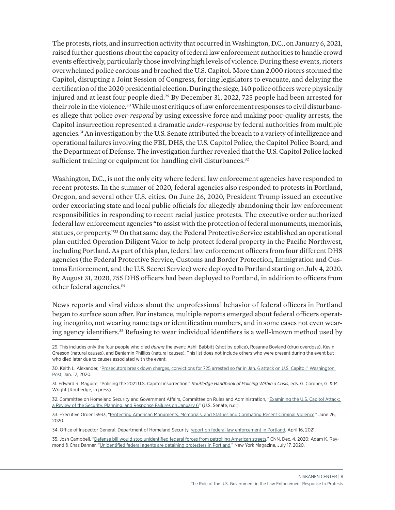The protests, riots, and insurrection activity that occurred in Washington, D.C., on January 6, 2021, raised further questions about the capacity of federal law enforcement authorities to handle crowd events effectively, particularly those involving high levels of violence. During these events, rioters overwhelmed police cordons and breached the U.S. Capitol. More than 2,000 rioters stormed the Capitol, disrupting a Joint Session of Congress, forcing legislators to evacuate, and delaying the certification of the 2020 presidential election. During the siege, 140 police officers were physically injured and at least four people died.<sup>29</sup> By December 31, 2022, 725 people had been arrested for their role in the violence.<sup>30</sup> While most critiques of law enforcement responses to civil disturbances allege that police *over-respond* by using excessive force and making poor-quality arrests, the Capitol insurrection represented a dramatic *under-response* by federal authorities from multiple agencies.<sup>31</sup> An investigation by the U.S. Senate attributed the breach to a variety of intelligence and operational failures involving the FBI, DHS, the U.S. Capitol Police, the Capitol Police Board, and the Department of Defense. The investigation further revealed that the U.S. Capitol Police lacked sufficient training or equipment for handling civil disturbances.<sup>32</sup>

Washington, D.C., is not the only city where federal law enforcement agencies have responded to recent protests. In the summer of 2020, federal agencies also responded to protests in Portland, Oregon, and several other U.S. cities. On June 26, 2020, President Trump issued an executive order excoriating state and local public officials for allegedly abandoning their law enforcement responsibilities in responding to recent racial justice protests. The executive order authorized federal law enforcement agencies "to assist with the protection of federal monuments, memorials, statues, or property."33 On that same day, the Federal Protective Service established an operational plan entitled Operation Diligent Valor to help protect federal property in the Pacific Northwest, including Portland. As part of this plan, federal law enforcement officers from four different DHS agencies (the Federal Protective Service, Customs and Border Protection, Immigration and Customs Enforcement, and the U.S. Secret Service) were deployed to Portland starting on July 4, 2020. By August 31, 2020, 755 DHS officers had been deployed to Portland, in addition to officers from other federal agencies.34

News reports and viral videos about the unprofessional behavior of federal officers in Portland began to surface soon after. For instance, multiple reports emerged about federal officers operating incognito, not wearing name tags or identification numbers, and in some cases not even wearing agency identifiers.<sup>35</sup> Refusing to wear individual identifiers is a well-known method used by

33. Executive Order 13933, ["Protecting American Monuments, Memorials, and Statues and Combating Recent Criminal Violence](https://www.federalregister.gov/documents/2020/07/02/2020-14509/protecting-american-monuments-memorials-and-statues-and-combating-recent-criminal-violence)," June 26, 2020.

34. Office of Inspector General, Department of Homeland Security, [report on federal law enforcement in Portland](https://www.oig.dhs.gov/sites/default/files/assets/2021-04/OIG-21-31-Mar21.pdf), April 16, 2021.

35. Josh Campbell, ["Defense bill would stop unidentified federal forces from patrolling American streets,](https://www.cnn.com/2020/12/04/politics/bill-federal-forces-badges/index.html)" CNN, Dec. 4, 2020; Adam K. Raymond & Chas Danner, "[Unidentified federal agents are detaining protesters in Portland](https://nymag.com/intelligencer/2020/07/unidentified-federal-agents-detaining-protesters-in-portland.html)," New York Magazine, July 17, 2020.

<sup>29.</sup> This includes only the four people who died *during* the event: Ashli Babbitt (shot by police), Rosanne Boyland (drug overdose), Kevin Greeson (natural causes), and Benjamin Phillips (natural causes). This list does not include others who were present during the event but who died later due to causes associated with the event.

<sup>30.</sup> Keith L. Alexander, ["Prosecutors break down charges, convictions for 725 arrested so far in Jan. 6 attack on U.S. Capitol,](https://www.washingtonpost.com/politics/2021/12/31/capitol-deadly-attack-insurrection-arrested-convicted)" Washington Post, Jan. 12, 2020.

<sup>31.</sup> Edward R. Maguire, "Policing the 2021 U.S. Capitol insurrection," *Routledge Handbook of Policing Within a Crisis*, eds. G. Cordner, G. & M. Wright (Routledge, in press).

<sup>32.</sup> Committee on Homeland Security and Government Affairs, Committee on Rules and Administration, "Examining the U.S. Capitol Attack: [a Review of the Security, Planning, and Response Failures on January 6](https://www.rules.senate.gov/imo/media/doc/Jan%206%20HSGAC%20Rules%20Report.pdf)" (U.S. Senate, n.d.).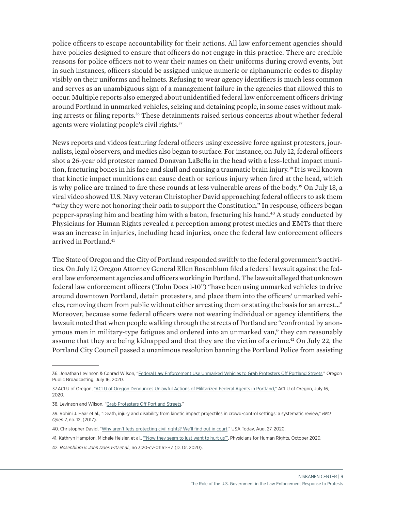police officers to escape accountability for their actions. All law enforcement agencies should have policies designed to ensure that officers do not engage in this practice. There are credible reasons for police officers not to wear their names on their uniforms during crowd events, but in such instances, officers should be assigned unique numeric or alphanumeric codes to display visibly on their uniforms and helmets. Refusing to wear agency identifiers is much less common and serves as an unambiguous sign of a management failure in the agencies that allowed this to occur. Multiple reports also emerged about unidentified federal law enforcement officers driving around Portland in unmarked vehicles, seizing and detaining people, in some cases without making arrests or filing reports.<sup>36</sup> These detainments raised serious concerns about whether federal agents were violating people's civil rights.<sup>37</sup>

News reports and videos featuring federal officers using excessive force against protesters, journalists, legal observers, and medics also began to surface. For instance, on July 12, federal officers shot a 26-year old protester named Donavan LaBella in the head with a less-lethal impact munition, fracturing bones in his face and skull and causing a traumatic brain injury.<sup>38</sup> It is well known that kinetic impact munitions can cause death or serious injury when fired at the head, which is why police are trained to fire these rounds at less vulnerable areas of the body.<sup>39</sup> On July 18, a viral video showed U.S. Navy veteran Christopher David approaching federal officers to ask them "why they were not honoring their oath to support the Constitution." In response, officers began pepper-spraying him and beating him with a baton, fracturing his hand.40 A study conducted by Physicians for Human Rights revealed a perception among protest medics and EMTs that there was an increase in injuries, including head injuries, once the federal law enforcement officers arrived in Portland.<sup>41</sup>

The State of Oregon and the City of Portland responded swiftly to the federal government's activities. On July 17, Oregon Attorney General Ellen Rosenblum filed a federal lawsuit against the federal law enforcement agencies and officers working in Portland. The lawsuit alleged that unknown federal law enforcement officers ("John Does 1-10") "have been using unmarked vehicles to drive around downtown Portland, detain protesters, and place them into the officers' unmarked vehicles, removing them from public without either arresting them or stating the basis for an arrest…" Moreover, because some federal officers were not wearing individual or agency identifiers, the lawsuit noted that when people walking through the streets of Portland are "confronted by anonymous men in military-type fatigues and ordered into an unmarked van," they can reasonably assume that they are being kidnapped and that they are the victim of a crime.42 On July 22, the Portland City Council passed a unanimous resolution banning the Portland Police from assisting

<sup>36.</sup> Jonathan Levinson & Conrad Wilson, "[Federal Law Enforcement Use Unmarked Vehicles to Grab Protesters Off Portland Streets](https://www.opb.org/news/article/federal-law-enforcement-unmarked-vehicles-portland-protesters/)," Oregon Public Broadcasting, July 16, 2020.

<sup>37.</sup>ACLU of Oregon, ["ACLU of Oregon Denounces Unlawful Actions of Militarized Federal Agents in Portland,"](https://www.aclu-or.org/en/press-releases/aclu-oregon-denounces-unlawful-actions-militarized-federal-agents-portland) ACLU of Oregon, July 16, 2020.

<sup>38.</sup> Levinson and Wilson, ["Grab Protesters Off Portland Streets](https://www.opb.org/news/article/federal-officers-portland-protester-shot-less-lethal-munitions)."

<sup>39.</sup> Rohini J. Haar et al., "Death, injury and disability from kinetic impact projectiles in crowd-control settings: a systematic review," *BMJ Open* 7, no. 12, (2017).

<sup>40.</sup> Christopher David, "[Why aren't feds protecting civil rights? We'll find out in court,](https://www.usatoday.com/story/opinion/2020/08/26/aclu-christopher-david-sue-federal-agents-dhs-beating-column/5634066002)" USA Today, Aug. 27, 2020.

<sup>41.</sup> Kathryn Hampton, Michele Heisler, et al., "Now they seem to just want to hurt us", Physicians for Human Rights, October 2020.

<sup>42.</sup> *Rosenblum v. John Does 1-10 et al*., no 3:20-cv-01161-HZ (D. Or. 2020).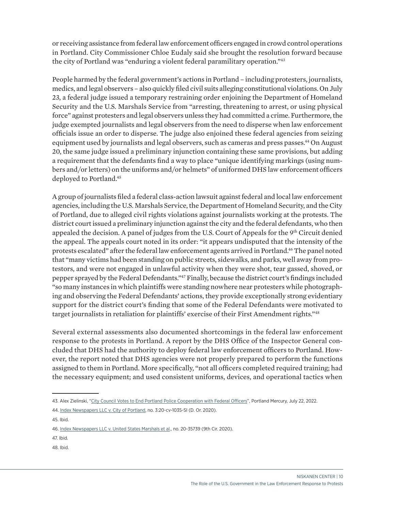or receiving assistance from federal law enforcement officers engaged in crowd control operations in Portland. City Commissioner Chloe Eudaly said she brought the resolution forward because the city of Portland was "enduring a violent federal paramilitary operation."43

People harmed by the federal government's actions in Portland – including protesters, journalists, medics, and legal observers – also quickly filed civil suits alleging constitutional violations. On July 23, a federal judge issued a temporary restraining order enjoining the Department of Homeland Security and the U.S. Marshals Service from "arresting, threatening to arrest, or using physical force" against protesters and legal observers unless they had committed a crime. Furthermore, the judge exempted journalists and legal observers from the need to disperse when law enforcement officials issue an order to disperse. The judge also enjoined these federal agencies from seizing equipment used by journalists and legal observers, such as cameras and press passes.<sup>44</sup> On August 20, the same judge issued a preliminary injunction containing these same provisions, but adding a requirement that the defendants find a way to place "unique identifying markings (using numbers and/or letters) on the uniforms and/or helmets" of uniformed DHS law enforcement officers deployed to Portland.45

A group of journalists filed a federal class-action lawsuit against federal and local law enforcement agencies, including the U.S. Marshals Service, the Department of Homeland Security, and the City of Portland, due to alleged civil rights violations against journalists working at the protests. The district court issued a preliminary injunction against the city and the federal defendants, who then appealed the decision. A panel of judges from the U.S. Court of Appeals for the  $9<sup>th</sup>$  Circuit denied the appeal. The appeals court noted in its order: "it appears undisputed that the intensity of the protests escalated" after the federal law enforcement agents arrived in Portland.46 The panel noted that "many victims had been standing on public streets, sidewalks, and parks, well away from protestors, and were not engaged in unlawful activity when they were shot, tear gassed, shoved, or pepper sprayed by the Federal Defendants."47 Finally, because the district court's findings included "so many instances in which plaintiffs were standing nowhere near protesters while photographing and observing the Federal Defendants' actions, they provide exceptionally strong evidentiary support for the district court's finding that some of the Federal Defendants were motivated to target journalists in retaliation for plaintiffs' exercise of their First Amendment rights."<sup>48</sup>

Several external assessments also documented shortcomings in the federal law enforcement response to the protests in Portland. A report by the DHS Office of the Inspector General concluded that DHS had the authority to deploy federal law enforcement officers to Portland. However, the report noted that DHS agencies were not properly prepared to perform the functions assigned to them in Portland. More specifically, "not all officers completed required training; had the necessary equipment; and used consistent uniforms, devices, and operational tactics when

47. Ibid.

48. Ibid.

<sup>43.</sup> Alex Zielinski, ["City Council Votes to End Portland Police Cooperation with Federal Officers"](https://www.portlandmercury.com/blogtown/2020/07/22/28665642/city-council-votes-to-end-portland-police-cooperation-with-federal-officers), Portland Mercury, July 22, 2022.

<sup>44.</sup> [Index Newspapers LLC v. City of Portland,](https://aclu-or.org/sites/default/files/field_documents/aclu_tro_against_federal_defendants.pdf) no. 3:20-cv-1035-SI (D. Or. 2020).

<sup>45.</sup> Ibid.

<sup>46.</sup> [Index Newspapers LLC v. United States Marshals et al.,](https://cdn.ca9.uscourts.gov/datastore/opinions/2020/10/09/20-35739.pdf) no. 20-35739 (9th Cir. 2020).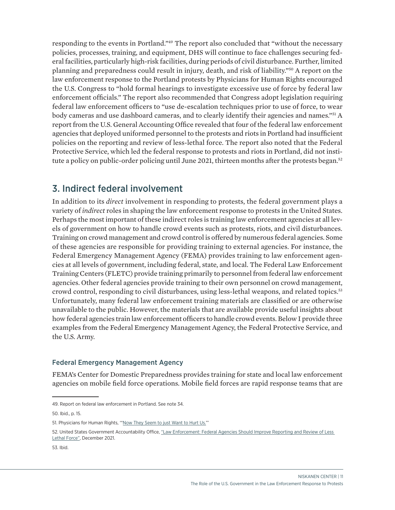responding to the events in Portland."49 The report also concluded that "without the necessary policies, processes, training, and equipment, DHS will continue to face challenges securing federal facilities, particularly high-risk facilities, during periods of civil disturbance. Further, limited planning and preparedness could result in injury, death, and risk of liability."50 A report on the law enforcement response to the Portland protests by Physicians for Human Rights encouraged the U.S. Congress to "hold formal hearings to investigate excessive use of force by federal law enforcement officials." The report also recommended that Congress adopt legislation requiring federal law enforcement officers to "use de-escalation techniques prior to use of force, to wear body cameras and use dashboard cameras, and to clearly identify their agencies and names."51 A report from the U.S. General Accounting Office revealed that four of the federal law enforcement agencies that deployed uniformed personnel to the protests and riots in Portland had insufficient policies on the reporting and review of less-lethal force. The report also noted that the Federal Protective Service, which led the federal response to protests and riots in Portland, did not institute a policy on public-order policing until June 2021, thirteen months after the protests began.<sup>52</sup>

## 3. Indirect federal involvement

In addition to its *direct* involvement in responding to protests, the federal government plays a variety of *indirect* roles in shaping the law enforcement response to protests in the United States. Perhaps the most important of these indirect roles is training law enforcement agencies at all levels of government on how to handle crowd events such as protests, riots, and civil disturbances. Training on crowd management and crowd control is offered by numerous federal agencies. Some of these agencies are responsible for providing training to external agencies. For instance, the Federal Emergency Management Agency (FEMA) provides training to law enforcement agencies at all levels of government, including federal, state, and local. The Federal Law Enforcement Training Centers (FLETC) provide training primarily to personnel from federal law enforcement agencies. Other federal agencies provide training to their own personnel on crowd management, crowd control, responding to civil disturbances, using less-lethal weapons, and related topics.53 Unfortunately, many federal law enforcement training materials are classified or are otherwise unavailable to the public. However, the materials that are available provide useful insights about how federal agencies train law enforcement officers to handle crowd events. Below I provide three examples from the Federal Emergency Management Agency, the Federal Protective Service, and the U.S. Army.

## Federal Emergency Management Agency

FEMA's Center for Domestic Preparedness provides training for state and local law enforcement agencies on mobile field force operations. Mobile field forces are rapid response teams that are

<sup>49.</sup> Report on federal law enforcement in Portland. See note 34.

<sup>50.</sup> Ibid., p. 15.

<sup>51.</sup> Physicians for Human Rights, ["Now They Seem to just Want to Hurt Us.](https://phr.org/wp-content/uploads/2020/09/PHR_Now-they-seem-to-just-want-to-hurt-us_ExecutiveSummary.pdf)"

<sup>52.</sup> United States Government Accountability Office, ["Law Enforcement: Federal Agencies Should Improve Reporting and Review of Less](https://www.gao.gov/assets/gao-22-104470.pdf)  [Lethal Force",](https://www.gao.gov/assets/gao-22-104470.pdf) December 2021.

<sup>53.</sup> Ibid.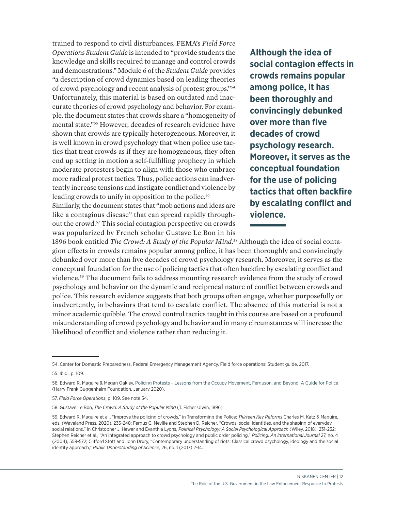trained to respond to civil disturbances. FEMA's *Field Force Operations Student Guide* is intended to "provide students the knowledge and skills required to manage and control crowds and demonstrations." Module 6 of the *Student Guide* provides "a description of crowd dynamics based on leading theories of crowd psychology and recent analysis of protest groups."54 Unfortunately, this material is based on outdated and inaccurate theories of crowd psychology and behavior. For example, the document states that crowds share a "homogeneity of mental state."55 However, decades of research evidence have shown that crowds are typically heterogeneous. Moreover, it is well known in crowd psychology that when police use tactics that treat crowds as if they are homogeneous, they often end up setting in motion a self-fulfilling prophecy in which moderate protesters begin to align with those who embrace more radical protest tactics. Thus, police actions can inadvertently increase tensions and instigate conflict and violence by leading crowds to unify in opposition to the police.<sup>56</sup>

Similarly, the document states that "mob actions and ideas are like a contagious disease" that can spread rapidly throughout the crowd.57 This social contagion perspective on crowds was popularized by French scholar Gustave Le Bon in his

**Although the idea of social contagion effects in crowds remains popular among police, it has been thoroughly and convincingly debunked over more than five decades of crowd psychology research. Moreover, it serves as the conceptual foundation for the use of policing tactics that often backfire by escalating conflict and violence.**

1896 book entitled *The Crowd: A Study of the Popular Mind*. 58 Although the idea of social contagion effects in crowds remains popular among police, it has been thoroughly and convincingly debunked over more than five decades of crowd psychology research. Moreover, it serves as the conceptual foundation for the use of policing tactics that often backfire by escalating conflict and violence.59 The document fails to address mounting research evidence from the study of crowd psychology and behavior on the dynamic and reciprocal nature of conflict between crowds and police. This research evidence suggests that both groups often engage, whether purposefully or inadvertently, in behaviors that tend to escalate conflict. The absence of this material is not a minor academic quibble. The crowd control tactics taught in this course are based on a profound misunderstanding of crowd psychology and behavior and in many circumstances will increase the likelihood of conflict and violence rather than reducing it.

<sup>54.</sup> Center for Domestic Preparedness, Federal Emergency Management Agency, Field force operations: Student guide, 2017.

<sup>55.</sup> Ibid., p. 109.

<sup>56.</sup> Edward R. Maguire & Megan Oakley, [Policing Protests – Lessons from the Occupy Movement, Ferguson, and Beyond: A Guide for Police](https://www.hfg.org/hfg_reports/policing-protests-lessons-from-the-occupy-movement-ferguson-and-beyond/) (Harry Frank Guggenheim Foundation, January 2020).

<sup>57.</sup> *Field Force Operations*, p. 109. See note 54.

<sup>58.</sup> Gustave Le Bon, *The Crowd: A Study of the Popular Mind* (T. Fisher Ulwin, 1896).

<sup>59.</sup> Edward R. Maguire et al., "Improve the policing of crowds," in Transforming the Police: *Thirteen Key Reforms* Charles M. Katz & Maguire, eds. (Waveland Press, 2020), 235-248; Fergus G. Neville and Stephen D. Reicher, "Crowds, social identities, and the shaping of everyday social relations," in Christopher J. Hewer and Evanthia Lyons, *Political Psychology: A Social Psychological Approach* (Wiley, 2018), 231-252; Stephen Reicher et al., "An integrated approach to crowd psychology and public order policing," *Policing: An International Journal* 27, no. 4 (2004), 558-572; Clifford Stott and John Drury, "Contemporary understanding of riots: Classical crowd psychology, ideology and the social identity approach," *Public Understanding of Science*, 26, no. 1 (2017) 2-14.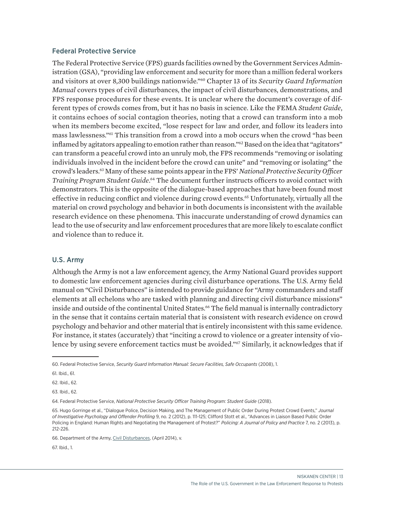#### Federal Protective Service

The Federal Protective Service (FPS) guards facilities owned by the Government Services Administration (GSA), "providing law enforcement and security for more than a million federal workers and visitors at over 8,300 buildings nationwide."60 Chapter 13 of its *Security Guard Information Manual* covers types of civil disturbances, the impact of civil disturbances, demonstrations, and FPS response procedures for these events. It is unclear where the document's coverage of different types of crowds comes from, but it has no basis in science. Like the FEMA *Student Guide*, it contains echoes of social contagion theories, noting that a crowd can transform into a mob when its members become excited, "lose respect for law and order, and follow its leaders into mass lawlessness."61 This transition from a crowd into a mob occurs when the crowd "has been inflamed by agitators appealing to emotion rather than reason."<sup>62</sup> Based on the idea that "agitators" can transform a peaceful crowd into an unruly mob, the FPS recommends "removing or isolating individuals involved in the incident before the crowd can unite" and "removing or isolating" the crowd's leaders.63 Many of these same points appear in the FPS' *National Protective Security Officer Training Program Student Guide*. 64 The document further instructs officers to avoid contact with demonstrators. This is the opposite of the dialogue-based approaches that have been found most effective in reducing conflict and violence during crowd events.<sup>65</sup> Unfortunately, virtually all the material on crowd psychology and behavior in both documents is inconsistent with the available research evidence on these phenomena. This inaccurate understanding of crowd dynamics can lead to the use of security and law enforcement procedures that are more likely to escalate conflict and violence than to reduce it.

### U.S. Army

Although the Army is not a law enforcement agency, the Army National Guard provides support to domestic law enforcement agencies during civil disturbance operations. The U.S. Army field manual on "Civil Disturbances" is intended to provide guidance for "Army commanders and staff elements at all echelons who are tasked with planning and directing civil disturbance missions" inside and outside of the continental United States.<sup>66</sup> The field manual is internally contradictory in the sense that it contains certain material that is consistent with research evidence on crowd psychology and behavior and other material that is entirely inconsistent with this same evidence. For instance, it states (accurately) that "inciting a crowd to violence or a greater intensity of violence by using severe enforcement tactics must be avoided."67 Similarly, it acknowledges that if

67. Ibid., 1.

<sup>60.</sup> Federal Protective Service, *Security Guard Information Manual: Secure Facilities, Safe Occupants* (2008), 1.

<sup>61.</sup> Ibid., 61.

<sup>62.</sup> Ibid., 62.

<sup>63.</sup> Ibid., 62.

<sup>64.</sup> Federal Protective Service, *National Protective Security Officer Training Program: Student Guide* (2018).

<sup>65.</sup> Hugo Gorringe et al., "Dialogue Police, Decision Making, and The Management of Public Order During Protest Crowd Events," *Journal of Investigative Psychology and Offender Profiling* 9, no. 2 (2012), p. 111-125; Clifford Stott et al., "Advances in Liaison Based Public Order Policing in England: Human Rights and Negotiating the Management of Protest?" *Policing: A Journal of Policy and Practice* 7, no. 2 (2013), p. 212-226.

<sup>66.</sup> Department of the Army, [Civil Disturbances](https://armypubs.army.mil/epubs/DR_pubs/DR_a/pdf/web/atp3_39x33.pdf), (April 2014), v.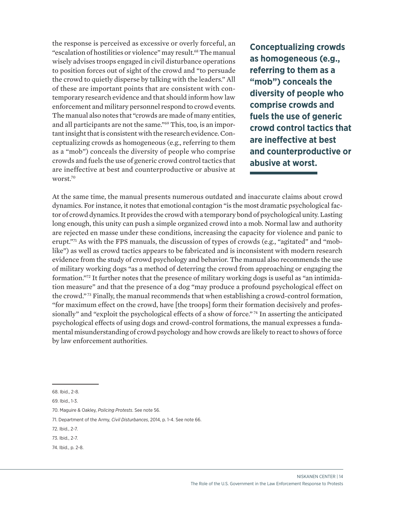the response is perceived as excessive or overly forceful, an "escalation of hostilities or violence" may result.68 The manual wisely advises troops engaged in civil disturbance operations to position forces out of sight of the crowd and "to persuade the crowd to quietly disperse by talking with the leaders." All of these are important points that are consistent with contemporary research evidence and that should inform how law enforcement and military personnel respond to crowd events. The manual also notes that "crowds are made of many entities, and all participants are not the same."69 This, too, is an important insight that is consistent with the research evidence. Conceptualizing crowds as homogeneous (e.g., referring to them as a "mob") conceals the diversity of people who comprise crowds and fuels the use of generic crowd control tactics that are ineffective at best and counterproductive or abusive at worst.70

**Conceptualizing crowds as homogeneous (e.g., referring to them as a "mob") conceals the diversity of people who comprise crowds and fuels the use of generic crowd control tactics that are ineffective at best and counterproductive or abusive at worst.**

At the same time, the manual presents numerous outdated and inaccurate claims about crowd dynamics. For instance, it notes that emotional contagion "is the most dramatic psychological factor of crowd dynamics. It provides the crowd with a temporary bond of psychological unity. Lasting long enough, this unity can push a simple organized crowd into a mob. Normal law and authority are rejected en masse under these conditions, increasing the capacity for violence and panic to erupt."<sup>71</sup> As with the FPS manuals, the discussion of types of crowds (e.g., "agitated" and "moblike") as well as crowd tactics appears to be fabricated and is inconsistent with modern research evidence from the study of crowd psychology and behavior. The manual also recommends the use of military working dogs "as a method of deterring the crowd from approaching or engaging the formation."<sup>72</sup> It further notes that the presence of military working dogs is useful as "an intimidation measure" and that the presence of a dog "may produce a profound psychological effect on the crowd." 73 Finally, the manual recommends that when establishing a crowd-control formation, "for maximum effect on the crowd, have [the troops] form their formation decisively and professionally" and "exploit the psychological effects of a show of force."<sup>74</sup> In asserting the anticipated psychological effects of using dogs and crowd-control formations, the manual expresses a fundamental misunderstanding of crowd psychology and how crowds are likely to react to shows of force by law enforcement authorities.

- 72. Ibid., 2-7.
- 73. Ibid., 2-7.
- 74. Ibid., p. 2-8.

<sup>68.</sup> Ibid., 2-8.

<sup>69.</sup> Ibid., 1-3.

<sup>70.</sup> Maguire & Oakley, *Policing Protests*. See note 56.

<sup>71.</sup> Department of the Army, *Civil Disturbances*, 2014, p. 1-4. See note 66.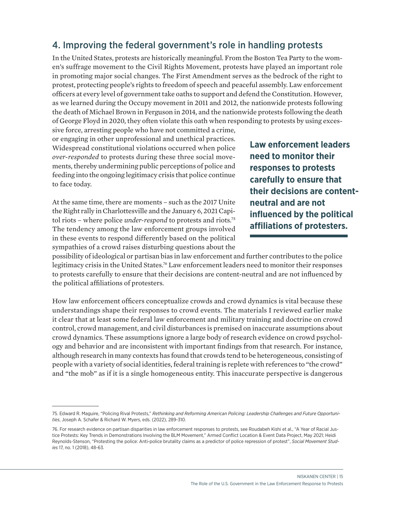## 4. Improving the federal government's role in handling protests

In the United States, protests are historically meaningful. From the Boston Tea Party to the women's suffrage movement to the Civil Rights Movement, protests have played an important role in promoting major social changes. The First Amendment serves as the bedrock of the right to protest, protecting people's rights to freedom of speech and peaceful assembly. Law enforcement officers at every level of government take oaths to support and defend the Constitution. However, as we learned during the Occupy movement in 2011 and 2012, the nationwide protests following the death of Michael Brown in Ferguson in 2014, and the nationwide protests following the death of George Floyd in 2020, they often violate this oath when responding to protests by using exces-

sive force, arresting people who have not committed a crime, or engaging in other unprofessional and unethical practices. Widespread constitutional violations occurred when police *over-responded* to protests during these three social movements, thereby undermining public perceptions of police and feeding into the ongoing legitimacy crisis that police continue to face today.

At the same time, there are moments – such as the 2017 Unite the Right rally in Charlottesville and the January 6, 2021 Capitol riots – where police *under-respond* to protests and riots.75 The tendency among the law enforcement groups involved in these events to respond differently based on the political sympathies of a crowd raises disturbing questions about the

**Law enforcement leaders need to monitor their responses to protests carefully to ensure that their decisions are contentneutral and are not influenced by the political affiliations of protesters.**

possibility of ideological or partisan bias in law enforcement and further contributes to the police legitimacy crisis in the United States.<sup>76</sup> Law enforcement leaders need to monitor their responses to protests carefully to ensure that their decisions are content-neutral and are not influenced by the political affiliations of protesters.

How law enforcement officers conceptualize crowds and crowd dynamics is vital because these understandings shape their responses to crowd events. The materials I reviewed earlier make it clear that at least some federal law enforcement and military training and doctrine on crowd control, crowd management, and civil disturbances is premised on inaccurate assumptions about crowd dynamics. These assumptions ignore a large body of research evidence on crowd psychology and behavior and are inconsistent with important findings from that research. For instance, although research in many contexts has found that crowds tend to be heterogeneous, consisting of people with a variety of social identities, federal training is replete with references to "the crowd" and "the mob" as if it is a single homogeneous entity. This inaccurate perspective is dangerous

<sup>75.</sup> Edward R. Maguire, "Policing Rival Protests," *Rethinking and Reforming American Policing: Leadership Challenges and Future Opportunities*, Joseph A. Schafer & Richard W. Myers, eds. (2022), 289-310.

<sup>76.</sup> For research evidence on partisan disparities in law enforcement responses to protests, see Roudabeh Kishi et al., "A Year of Racial Justice Protests: Key Trends in Demonstrations Involving the BLM Movement," Armed Conflict Location & Event Data Project, May 2021; Heidi Reynolds-Stenson, "Protesting the police: Anti-police brutality claims as a predictor of police repression of protest", *Social Movement Studies* 17, no. 1 (2018), 48-63.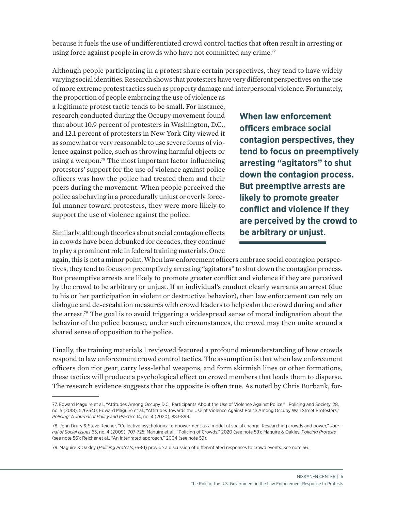because it fuels the use of undifferentiated crowd control tactics that often result in arresting or using force against people in crowds who have not committed any crime.<sup>77</sup>

Although people participating in a protest share certain perspectives, they tend to have widely varying social identities. Research shows that protesters have very different perspectives on the use of more extreme protest tactics such as property damage and interpersonal violence. Fortunately,

the proportion of people embracing the use of violence as a legitimate protest tactic tends to be small. For instance, research conducted during the Occupy movement found that about 10.9 percent of protesters in Washington, D.C., and 12.1 percent of protesters in New York City viewed it as somewhat or very reasonable to use severe forms of violence against police, such as throwing harmful objects or using a weapon.78 The most important factor influencing protesters' support for the use of violence against police officers was how the police had treated them and their peers during the movement. When people perceived the police as behaving in a procedurally unjust or overly forceful manner toward protesters, they were more likely to support the use of violence against the police.

Similarly, although theories about social contagion effects in crowds have been debunked for decades, they continue to play a prominent role in federal training materials. Once **When law enforcement officers embrace social contagion perspectives, they tend to focus on preemptively arresting "agitators" to shut down the contagion process. But preemptive arrests are likely to promote greater conflict and violence if they are perceived by the crowd to be arbitrary or unjust.**

again, this is not a minor point. When law enforcement officers embrace social contagion perspectives, they tend to focus on preemptively arresting "agitators" to shut down the contagion process. But preemptive arrests are likely to promote greater conflict and violence if they are perceived by the crowd to be arbitrary or unjust. If an individual's conduct clearly warrants an arrest (due to his or her participation in violent or destructive behavior), then law enforcement can rely on dialogue and de-escalation measures with crowd leaders to help calm the crowd during and after the arrest.<sup>79</sup> The goal is to avoid triggering a widespread sense of moral indignation about the behavior of the police because, under such circumstances, the crowd may then unite around a shared sense of opposition to the police.

Finally, the training materials I reviewed featured a profound misunderstanding of how crowds respond to law enforcement crowd control tactics. The assumption is that when law enforcement officers don riot gear, carry less-lethal weapons, and form skirmish lines or other formations, these tactics will produce a psychological effect on crowd members that leads them to disperse. The research evidence suggests that the opposite is often true. As noted by Chris Burbank, for-

<sup>77.</sup> Edward Maguire et al., "Attitudes Among Occupy D.C., Participants About the Use of Violence Against Police," . Policing and Society, 28, no. 5 (2018), 526-540; Edward Maguire et al., "Attitudes Towards the Use of Violence Against Police Among Occupy Wall Street Protesters," *Policing: A Journal of Policy and Practice* 14, no. 4 (2020), 883-899.

<sup>78.</sup> John Drury & Steve Reicher, "Collective psychological empowerment as a model of social change: Researching crowds and power," *Journal of Social Issues* 65, no. 4 (2009), 707-725; Maguire et al., "Policing of Crowds," 2020 (see note 59); Maguire & Oakley, *Policing Protests*  (see note 56); Reicher et al., "An integrated approach," 2004 (see note 59).

<sup>79.</sup> Maguire & Oakley (*Policing Protests*,76-81) provide a discussion of differentiated responses to crowd events. See note 56.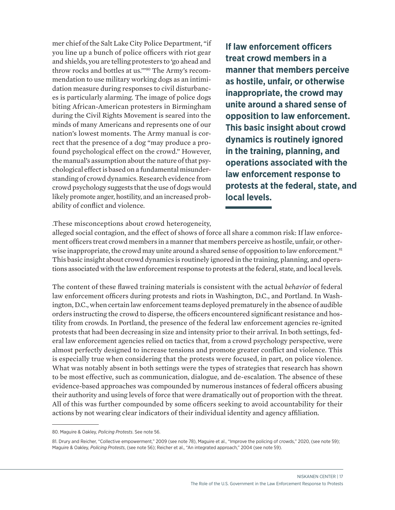mer chief of the Salt Lake City Police Department, "if you line up a bunch of police officers with riot gear and shields, you are telling protesters to 'go ahead and throw rocks and bottles at us.'"80 The Army's recommendation to use military working dogs as an intimidation measure during responses to civil disturbances is particularly alarming. The image of police dogs biting African-American protesters in Birmingham during the Civil Rights Movement is seared into the minds of many Americans and represents one of our nation's lowest moments. The Army manual is correct that the presence of a dog "may produce a profound psychological effect on the crowd." However, the manual's assumption about the nature of that psychological effect is based on a fundamental misunderstanding of crowd dynamics. Research evidence from crowd psychology suggests that the use of dogs would likely promote anger, hostility, and an increased probability of conflict and violence.

**If law enforcement officers treat crowd members in a manner that members perceive as hostile, unfair, or otherwise inappropriate, the crowd may unite around a shared sense of opposition to law enforcement. This basic insight about crowd dynamics is routinely ignored in the training, planning, and operations associated with the law enforcement response to protests at the federal, state, and local levels.**

.These misconceptions about crowd heterogeneity,

alleged social contagion, and the effect of shows of force all share a common risk: If law enforcement officers treat crowd members in a manner that members perceive as hostile, unfair, or otherwise inappropriate, the crowd may unite around a shared sense of opposition to law enforcement.<sup>81</sup> This basic insight about crowd dynamics is routinely ignored in the training, planning, and operations associated with the law enforcement response to protests at the federal, state, and local levels.

The content of these flawed training materials is consistent with the actual *behavior* of federal law enforcement officers during protests and riots in Washington, D.C., and Portland. In Washington, D.C., when certain law enforcement teams deployed prematurely in the absence of audible orders instructing the crowd to disperse, the officers encountered significant resistance and hostility from crowds. In Portland, the presence of the federal law enforcement agencies re-ignited protests that had been decreasing in size and intensity prior to their arrival. In both settings, federal law enforcement agencies relied on tactics that, from a crowd psychology perspective, were almost perfectly designed to increase tensions and promote greater conflict and violence. This is especially true when considering that the protests were focused, in part, on police violence. What was notably absent in both settings were the types of strategies that research has shown to be most effective, such as communication, dialogue, and de-escalation. The absence of these evidence-based approaches was compounded by numerous instances of federal officers abusing their authority and using levels of force that were dramatically out of proportion with the threat. All of this was further compounded by some officers seeking to avoid accountability for their actions by not wearing clear indicators of their individual identity and agency affiliation.

<sup>80.</sup> Maguire & Oakley, *Policing Protests*. See note 56.

<sup>81.</sup> Drury and Reicher, "Collective empowerment," 2009 (see note 78), Maguire et al., "Improve the policing of crowds," 2020, (see note 59); Maguire & Oakley, *Policing Protests*, (see note 56); Reicher et al., "An integrated approach," 2004 (see note 59).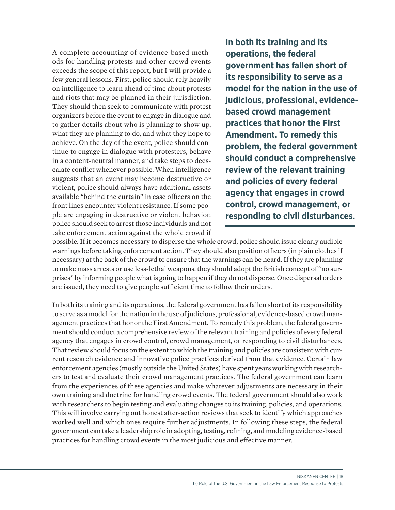A complete accounting of evidence-based methods for handling protests and other crowd events exceeds the scope of this report, but I will provide a few general lessons. First, police should rely heavily on intelligence to learn ahead of time about protests and riots that may be planned in their jurisdiction. They should then seek to communicate with protest organizers before the event to engage in dialogue and to gather details about who is planning to show up, what they are planning to do, and what they hope to achieve. On the day of the event, police should continue to engage in dialogue with protesters, behave in a content-neutral manner, and take steps to deescalate conflict whenever possible. When intelligence suggests that an event may become destructive or violent, police should always have additional assets available "behind the curtain" in case officers on the front lines encounter violent resistance. If some people are engaging in destructive or violent behavior, police should seek to arrest those individuals and not take enforcement action against the whole crowd if

**In both its training and its operations, the federal government has fallen short of its responsibility to serve as a model for the nation in the use of judicious, professional, evidencebased crowd management practices that honor the First Amendment. To remedy this problem, the federal government should conduct a comprehensive review of the relevant training and policies of every federal agency that engages in crowd control, crowd management, or responding to civil disturbances.** 

possible. If it becomes necessary to disperse the whole crowd, police should issue clearly audible warnings before taking enforcement action. They should also position officers (in plain clothes if necessary) at the back of the crowd to ensure that the warnings can be heard. If they are planning to make mass arrests or use less-lethal weapons, they should adopt the British concept of "no surprises" by informing people what is going to happen if they do not disperse. Once dispersal orders are issued, they need to give people sufficient time to follow their orders.

In both its training and its operations, the federal government has fallen short of its responsibility to serve as a model for the nation in the use of judicious, professional, evidence-based crowd management practices that honor the First Amendment. To remedy this problem, the federal government should conduct a comprehensive review of the relevant training and policies of every federal agency that engages in crowd control, crowd management, or responding to civil disturbances. That review should focus on the extent to which the training and policies are consistent with current research evidence and innovative police practices derived from that evidence. Certain law enforcement agencies (mostly outside the United States) have spent years working with researchers to test and evaluate their crowd management practices. The federal government can learn from the experiences of these agencies and make whatever adjustments are necessary in their own training and doctrine for handling crowd events. The federal government should also work with researchers to begin testing and evaluating changes to its training, policies, and operations. This will involve carrying out honest after-action reviews that seek to identify which approaches worked well and which ones require further adjustments. In following these steps, the federal government can take a leadership role in adopting, testing, refining, and modeling evidence-based practices for handling crowd events in the most judicious and effective manner.